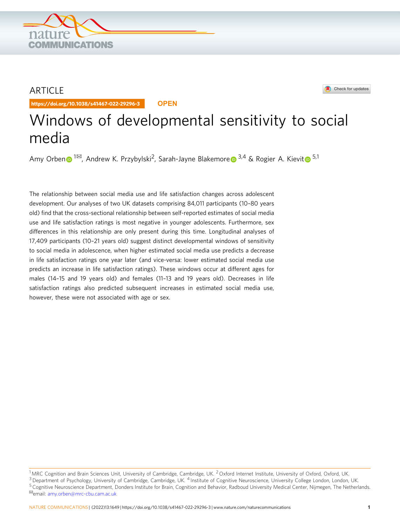## ARTICLE

https://doi.org/10.1038/s41467-022-29296-3 **OPEN**

**COMMUNICATIONS** 

# Windows of developmental sensitivity to social media

Amy Orbe[n](http://orcid.org/0000-0002-2937-4183)  $\bullet$  $\bullet$  $\bullet$  <sup>[1](http://orcid.org/0000-0002-2937-4183) $\boxtimes$ </sup>, Andrew K. Przybylski<sup>2</sup>, Sarah-Jayne Blakemore  $\bullet$  <sup>[3](http://orcid.org/0000-0002-1690-2805),4</sup> & Rogier A. Kievit  $\bullet$  <sup>5,1</sup>

The relationship between social media use and life satisfaction changes across adolescent development. Our analyses of two UK datasets comprising 84,011 participants (10–80 years old) find that the cross-sectional relationship between self-reported estimates of social media use and life satisfaction ratings is most negative in younger adolescents. Furthermore, sex differences in this relationship are only present during this time. Longitudinal analyses of 17,409 participants (10–21 years old) suggest distinct developmental windows of sensitivity to social media in adolescence, when higher estimated social media use predicts a decrease in life satisfaction ratings one year later (and vice-versa: lower estimated social media use predicts an increase in life satisfaction ratings). These windows occur at different ages for males (14–15 and 19 years old) and females (11–13 and 19 years old). Decreases in life satisfaction ratings also predicted subsequent increases in estimated social media use, however, these were not associated with age or sex.



<sup>&</sup>lt;sup>1</sup> MRC Cognition and Brain Sciences Unit, University of Cambridge, Cambridge, UK. <sup>2</sup> Oxford Internet Institute, University of Oxford, Oxford, UK. <sup>3</sup> Department of Psychology, University of Cambridge, Cambridge, UK. <sup>4</sup> Institute of Cognitive Neuroscience, University College London, London, UK. 5 Cognitive Neuroscience Department, Donders Institute for Brain, Cognition and Behavior, Radboud University Medical Center, Nijmegen, The Netherlands.<br><sup>⊠</sup>email: [amy.orben@mrc-cbu.cam.ac.uk](mailto:amy.orben@mrc-cbu.cam.ac.uk)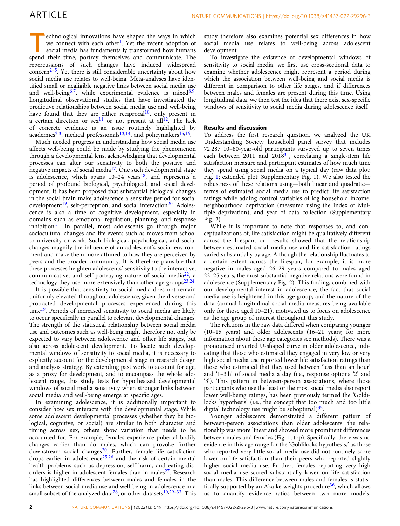echnological innovations have shaped the ways in which we connect with each other<sup>[1](#page-8-0)</sup>. Yet the recent adoption of social media has fundamentally transformed how humans spend their time, portray themselves and communicate. The repercussions of such changes have induced widespread concern<sup>[2](#page-8-0)–5</sup>. Yet there is still considerable uncertainty about how social media use relates to well-being. Meta-analyses have identified small or negligible negative links between social media use and well-being<sup>[6](#page-8-0),7</sup>, while experimental evidence is mixed $8,9$  $8,9$ . Longitudinal observational studies that have investigated the predictive relationships between social media use and well-being have found that they are either reciprocal<sup>10</sup>, only present in a certain direction or  $sex^{11}$  $sex^{11}$  $sex^{11}$  or not present at all<sup>[12](#page-8-0)</sup>. The lack of concrete evidence is an issue routinely highlighted by academics<sup>[2,3](#page-8-0)</sup>, medical professionals<sup>[13](#page-8-0),[14](#page-8-0)</sup>, and policymakers<sup>[15](#page-8-0),[16](#page-8-0)</sup>.

Much needed progress in understanding how social media use affects well-being could be made by studying the phenomenon through a developmental lens, acknowledging that developmental processes can alter our sensitivity to both the positive and negative impacts of social media $17$ . One such developmental stage is adolescence, which spans  $10-24$  years<sup>18</sup>, and represents a period of profound biological, psychological, and social development. It has been proposed that substantial biological changes in the social brain make adolescence a sensitive period for social development<sup>19</sup>, self-perception, and social interaction<sup>20</sup>. Adolescence is also a time of cognitive development, especially in domains such as emotional regulation, planning, and response inhibition $2^1$ . In parallel, most adolescents go through major sociocultural changes and life events such as moves from school to university or work. Such biological, psychological, and social changes magnify the influence of an adolescent's social environment and make them more attuned to how they are perceived by peers and the broader community. It is therefore plausible that these processes heighten adolescents' sensitivity to the interactive, communicative, and self-portraying nature of social media $^{22}$  $^{22}$  $^{22}$ , a technology they use more extensively than other age groups<sup>23,24</sup>.

It is possible that sensitivity to social media does not remain uniformly elevated throughout adolescence, given the diverse and protracted developmental processes experienced during this time<sup>19</sup>. Periods of increased sensitivity to social media are likely to occur specifically in parallel to relevant developmental changes. The strength of the statistical relationship between social media use and outcomes such as well-being might therefore not only be expected to vary between adolescence and other life stages, but also across adolescent development. To locate such developmental windows of sensitivity to social media, it is necessary to explicitly account for the developmental stage in research design and analysis strategy. By extending past work to account for age, as a proxy for development, and to encompass the whole adolescent range, this study tests for hypothesized developmental windows of social media sensitivity when stronger links between social media and well-being emerge at specific ages.

In examining adolescence, it is additionally important to consider how sex interacts with the developmental stage. While some adolescent developmental processes (whether they be biological, cognitive, or social) are similar in both character and timing across sex, others show variation that needs to be accounted for. For example, females experience pubertal bodily changes earlier than do males, which can provoke further downstream social changes<sup>[20](#page-8-0)</sup>. Further, female life satisfaction drops earlier in adolescence<sup>[25,26](#page-8-0)</sup> and the risk of certain mental health problems such as depression, self-harm, and eating disorders is higher in adolescent females than in males<sup>27</sup>. Research has highlighted differences between males and females in the links between social media use and well-being in adolescence in a small subset of the analyzed data<sup>[28](#page-8-0)</sup>, or other datasets<sup>[10](#page-8-0),[29](#page-8-0)-[33](#page-8-0)</sup>. This

study therefore also examines potential sex differences in how social media use relates to well-being across adolescent development.

To investigate the existence of developmental windows of sensitivity to social media, we first use cross-sectional data to examine whether adolescence might represent a period during which the association between well-being and social media is different in comparison to other life stages, and if differences between males and females are present during this time. Using longitudinal data, we then test the idea that there exist sex-specific windows of sensitivity to social media during adolescence itself.

### Results and discussion

To address the first research question, we analyzed the UK Understanding Society household panel survey that includes 72,287 10–80-year-old participants surveyed up to seven times each between 2011 and 2018 $34$ , correlating a single-item life satisfaction measure and participant estimates of how much time they spend using social media on a typical day (raw data plot: Fig. [1](#page-2-0); extended plot: Supplementary Fig. 1). We also tested the robustness of these relations using—both linear and quadratic terms of estimated social media use to predict life satisfaction ratings while adding control variables of log household income, neighbourhood deprivation (measured using the Index of Multiple deprivation), and year of data collection (Supplementary Fig. 2).

While it is important to note that responses to, and conceptualizations of, life satisfaction might be qualitatively different across the lifespan, our results showed that the relationship between estimated social media use and life satisfaction ratings varied substantially by age. Although the relationship fluctuates to a certain extent across the lifespan, for example, it is more negative in males aged 26–29 years compared to males aged 22–25 years, the most substantial negative relations were found in adolescence (Supplementary Fig. 2). This finding, combined with our developmental interest in adolescence, the fact that social media use is heightened in this age group, and the nature of the data (annual longitudinal social media measures being available only for those aged 10–21), motivated us to focus on adolescence as the age group of interest throughout this study.

The relations in the raw data differed when comparing younger (10–15 years) and older adolescents (16–21 years; for more information about these age categories see methods). There was a pronounced inverted U-shaped curve in older adolescence, indicating that those who estimated they engaged in very low or very high social media use reported lower life satisfaction ratings than those who estimated that they used between 'less than an hour' and '1–3 h' of social media a day (i.e., response options '2' and '3'). This pattern in between-person associations, where those participants who use the least or the most social media also report lower well-being ratings, has been previously termed the 'Goldilocks hypothesis' (i.e., the concept that too much and too little digital technology use might be suboptimal) $35$ .

Younger adolescents demonstrated a different pattern of between-person associations than older adolescents: the relationship was more linear and showed more prominent differences between males and females (Fig. [1](#page-2-0); top). Specifically, there was no evidence in this age range for the 'Goldilocks hypothesis,' as those who reported very little social media use did not routinely score lower on life satisfaction than their peers who reported slightly higher social media use. Further, females reporting very high social media use scored substantially lower on life satisfaction than males. This difference between males and females is statis-tically supported by an Akaike weights procedure<sup>[36](#page-8-0)</sup>, which allows us to quantify evidence ratios between two more models,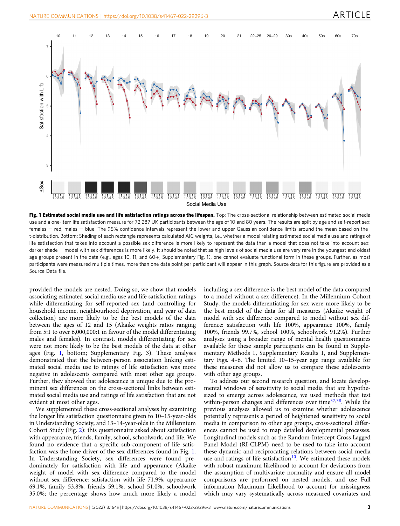<span id="page-2-0"></span>

Fig. 1 Estimated social media use and life satisfaction ratings across the lifespan. Top: The cross-sectional relationship between estimated social media use and a one-item life satisfaction measure for 72,287 UK participants between the age of 10 and 80 years. The results are split by age and self-report sex: females = red, males = blue. The 95% confidence intervals represent the lower and upper Gaussian confidence limits around the mean based on the t-distribution. Bottom: Shading of each rectangle represents calculated AIC weights, i.e., whether a model relating estimated social media use and ratings of life satisfaction that takes into account a possible sex difference is more likely to represent the data than a model that does not take into account sex: darker shade = model with sex differences is more likely. It should be noted that as high levels of social media use are very rare in the youngest and oldest age groups present in the data (e.g., ages 10, 11, and 60+, Supplementary Fig. 1), one cannot evaluate functional form in these groups. Further, as most participants were measured multiple times, more than one data point per participant will appear in this graph. Source data for this figure are provided as a Source Data file.

provided the models are nested. Doing so, we show that models associating estimated social media use and life satisfaction ratings while differentiating for self-reported sex (and controlling for household income, neighbourhood deprivation, and year of data collection) are more likely to be the best models of the data between the ages of 12 and 15 (Akaike weights ratios ranging from 5:1 to over 6,000,000:1 in favour of the model differentiating males and females). In contrast, models differentiating for sex were not more likely to be the best models of the data at other ages (Fig. 1, bottom; Supplementary Fig. 3). These analyses demonstrated that the between-person association linking estimated social media use to ratings of life satisfaction was more negative in adolescents compared with most other age groups. Further, they showed that adolescence is unique due to the prominent sex differences on the cross-sectional links between estimated social media use and ratings of life satisfaction that are not evident at most other ages.

We supplemented these cross-sectional analyses by examining the longer life satisfaction questionnaire given to 10–15-year-olds in Understanding Society, and 13–14-year-olds in the Millennium Cohort Study (Fig. [2](#page-3-0)): this questionnaire asked about satisfaction with appearance, friends, family, school, schoolwork, and life. We found no evidence that a specific sub-component of life satisfaction was the lone driver of the sex differences found in Fig. 1. In Understanding Society, sex differences were found predominately for satisfaction with life and appearance (Akaike weight of model with sex difference compared to the model without sex difference: satisfaction with life 71.9%, appearance 69.1%, family 53.8%, friends 59.1%, school 51.0%, schoolwork 35.0%; the percentage shows how much more likely a model including a sex difference is the best model of the data compared to a model without a sex difference). In the Millennium Cohort Study, the models differentiating for sex were more likely to be the best model of the data for all measures (Akaike weight of model with sex difference compared to model without sex difference: satisfaction with life 100%, appearance 100%, family 100%, friends 99.7%, school 100%, schoolwork 91.2%). Further analyses using a broader range of mental health questionnaires available for these sample participants can be found in Supplementary Methods 1, Supplementary Results 1, and Supplementary Figs. 4–6. The limited 10–15-year age range available for these measures did not allow us to compare these adolescents with other age groups.

To address our second research question, and locate developmental windows of sensitivity to social media that are hypothesized to emerge across adolescence, we used methods that test within-person changes and differences over time<sup>[37](#page-8-0),[38](#page-8-0)</sup>. While the previous analyses allowed us to examine whether adolescence potentially represents a period of heightened sensitivity to social media in comparison to other age groups, cross-sectional differences cannot be used to map detailed developmental processes. Longitudinal models such as the Random-Intercept Cross Lagged Panel Model (RI-CLPM) need to be used to take into account these dynamic and reciprocating relations between social media use and ratings of life satisfaction<sup>10</sup>. We estimated these models with robust maximum likelihood to account for deviations from the assumption of multivariate normality and ensure all model comparisons are performed on nested models, and use Full information Maximum Likelihood to account for missingness which may vary systematically across measured covariates and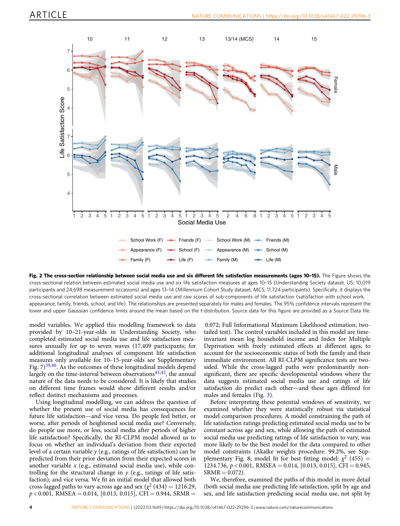<span id="page-3-0"></span>

Fig. 2 The cross-section relationship between social media use and six different life satisfaction measurements (ages 10-15). The Figure shows the cross-sectional relation between estimated social media use and six life satisfaction measures at ages 10–15 (Understanding Society dataset, US; 10,019 participants and 24,698 measurement occasions) and ages 13–14 (Millennium Cohort Study dataset, MCS; 11,724 participants). Specifically, it displays the cross-sectional correlation between estimated social media use and raw scores of sub-components of life satisfaction (satisfaction with school work, appearance, family, friends, school, and life). The relationships are presented separately for males and females. The 95% confidence intervals represent the lower and upper Gaussian confidence limits around the mean based on the t-distribution. Source data for this figure are provided as a Source Data file.

model variables. We applied this modelling framework to data provided by 10–21-year-olds in Understanding Society, who completed estimated social media use and life satisfaction measures annually for up to seven waves (17,409 participants; for additional longitudinal analyses of component life satisfaction measures only available for 10–15-year-olds see Supplementary Fig.  $7)^{39,40}$ . As the outcomes of these longitudinal models depend largely on the time-interval between observations $41,42$ , the annual nature of the data needs to be considered. It is likely that studies on different time frames would show different results and/or reflect distinct mechanisms and processes.

Using longitudinal modelling, we can address the question of whether the present use of social media has consequences for future life satisfaction—and vice versa. Do people feel better, or worse, after periods of heightened social media use? Conversely, do people use more, or less, social media after periods of higher life satisfaction? Specifically, the RI-CLPM model allowed us to focus on whether an individual's deviation from their expected level of a certain variable  $y$  (e.g., ratings of life satisfaction) can be predicted from their prior deviation from their expected scores in another variable  $x$  (e.g., estimated social media use), while controlling for the structural change in  $y$  (e.g., ratings of life satisfaction); and vice versa. We fit an initial model that allowed both cross-lagged paths to vary across age and sex ( $\chi^2$  (434) = 1216.29,  $p < 0.001$ , RMSEA = 0.014, [0.013, 0.015], CFI = 0.944, SRMR =

0.072; Full Informational Maximum Likelihood estimation; twotailed test). The control variables included in this model are timeinvariant mean log household income and Index for Multiple Deprivation with freely estimated effects at different ages, to account for the socioeconomic status of both the family and their immediate environment. All RI-CLPM significance tests are twosided. While the cross-lagged paths were predominantly nonsignificant, there are specific developmental windows where the data suggests estimated social media use and ratings of life satisfaction do predict each other—and these ages differed for males and females (Fig. [3\)](#page-4-0).

Before interpreting these potential windows of sensitivity, we examined whether they were statistically robust via statistical model comparison procedures. A model constraining the path of life satisfaction ratings predicting estimated social media use to be constant across age and sex, while allowing the path of estimated social media use predicting ratings of life satisfaction to vary, was more likely to be the best model for the data compared to other model constraints (Akaike weights procedure: 99.2%, see Supplementary Fig. 8; model fit for best fitting model:  $\chi^2$  (455) = 1234.736,  $p < 0.001$ , RMSEA = 0.014, [0.013, 0.015], CFI = 0.945,  $SRMR = 0.072$ ).

We, therefore, examined the paths of this model in more detail (both social media use predicting life satisfaction, split by age and sex, and life satisfaction predicting social media use, not split by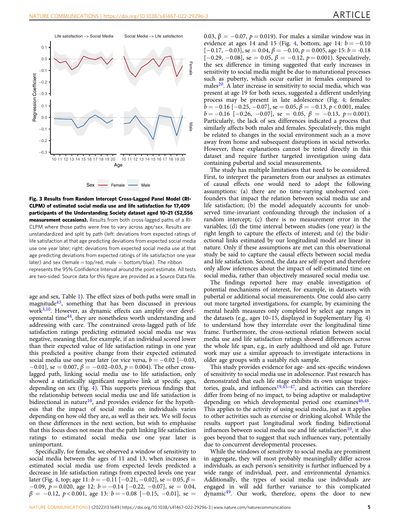<span id="page-4-0"></span>

Fig. 3 Results from Random Intercept Cross-Lagged Panel Model (RI-CLPM) of estimated social media use and life satisfaction for 17,409 participants of the Understanding Society dataset aged 10–21 (52,556 measurement occasions). Results from both cross-lagged paths of a RI-CLPM where those paths were free to vary across age/sex. Results are unstandardized and split by path (left: deviations from expected ratings of life satisfaction at that age predicting deviations from expected social media use one year later; right: deviations from expected social media use at that age predicting deviations from expected ratings of life satisfaction one year later) and sex (female  $=$  top/red, male  $=$  bottom/blue). The ribbon represents the 95% Confidence Interval around the point estimate. All tests are two-sided. Source data for this figure are provided as a Source Data file.

age and sex, Table [1](#page-5-0)). The effect sizes of both paths were small in magnitude $43$ , something that has been discussed in previous work<sup>[3,10](#page-8-0)</sup>. However, as dynamic effects can amplify over developmental time $44$ , they are nonetheless worth understanding and addressing with care. The constrained cross-lagged path of life satisfaction ratings predicting estimated social media use was negative, meaning that, for example, if an individual scored lower than their expected value of life satisfaction ratings in one year this predicted a positive change from their expected estimated social media use one year later (or vice versa,  $b = -0.02$  [ $-0.03$ ,  $-0.01$ ], se = 0.007,  $\beta = -0.02 - 0.03$ ,  $p = 0.004$ ). The other crosslagged path, linking social media use to life satisfaction, only showed a statistically significant negative link at specific ages, depending on sex (Fig.  $4$ ). This supports previous findings that the relationship between social media use and life satisfaction is bidirectional in nature<sup>[10](#page-8-0)</sup>, and provides evidence for the hypothesis that the impact of social media on individuals varies depending on how old they are, as well as their sex. We will focus on these differences in the next section, but wish to emphasise that this focus does not mean that the path linking life satisfaction ratings to estimated social media use one year later is unimportant.

Specifically, for females, we observed a window of sensitivity to social media between the ages of 11 and 13, when increases in estimated social media use from expected levels predicted a decrease in life satisfaction ratings from expected levels one year later (Fig. [4,](#page-6-0) top; age 11:  $b = -0.11$  [ $-0.21, -0.02$ ], se = 0.05,  $\beta$  =  $-0.09, p = 0.020,$  age 12:  $b = -0.14$  [ $-0.22, -0.07$ ], se = 0.04,  $\beta = -0.12, p < 0.001$ , age 13:  $b = -0.08$  [-0.15, -0.01], se =

0.03,  $\beta = -0.07$ ,  $p = 0.019$ ). For males a similar window was in evidence at ages 14 and 15 (Fig. [4,](#page-6-0) bottom; age 14:  $b = -0.10$  $[-0.17, -0.03]$ , se = 0.04,  $\beta$  = -0.10, p = 0.005, age 15: b = -0.18  $[-0.29, -0.08]$ , se = 0.05,  $\beta = -0.12$ ,  $p = 0.001$ ). Speculatively, the sex difference in timing suggested that early increases in sensitivity to social media might be due to maturational processes such as puberty, which occur earlier in females compared to males $^{20}$  $^{20}$  $^{20}$ . A later increase in sensitivity to social media, which was present at age 19 for both sexes, suggested a different underlying process may be present in late adolescence (Fig. [4;](#page-6-0) females:  $b = -0.16$  [ $-0.25, -0.07$ ], se = 0.05,  $\beta = -0.13, p < 0.001$ , males:  $b = -0.16$  [-0.26, -0.07], se = 0.05,  $\beta = -0.13$ ,  $p = 0.001$ ). Particularly, the lack of sex differences indicated a process that similarly affects both males and females. Speculatively, this might be related to changes in the social environment such as a move away from home and subsequent disruptions in social networks. However, these explanations cannot be tested directly in this dataset and require further targeted investigation using data containing pubertal and social measurements.

The study has multiple limitations that need to be considered. First, to interpret the parameters from our analyses as estimates of causal effects one would need to adopt the following assumptions: (a) there are no time-varying unobserved confounders that impact the relation between social media use and life satisfaction; (b) the model adequately accounts for unobserved time-invariant confounding through the inclusion of a random intercept; (c) there is no measurement error in the variables; (d) the time interval between studies (one year) is the right length to capture the effects of interest; and (e) the bidirectional links estimated by our longitudinal model are linear in nature. Only if these assumptions are met can this observational study be said to capture the causal effects between social media and life satisfaction. Second, the data are self-report and therefore only allow inferences about the impact of self-estimated time on social media, rather than objectively measured social media use.

The findings reported here may enable investigation of potential mechanisms of interest, for example, in datasets with pubertal or additional social measurements. One could also carry out more targeted investigations, for example, by examining the mental health measures only completed by select age ranges in the datasets (e.g., ages 10–15, displayed in Supplementary Fig. 4) to understand how they interrelate over the longitudinal time frame. Furthermore, the cross-sectional relation between social media use and life satisfaction ratings showed differences across the whole life span, e.g., in early adulthood and old age. Future work may use a similar approach to investigate interactions in older age groups with a suitably rich sample.

This study provides evidence for age- and sex-specific windows of sensitivity to social media use in adolescence. Past research has demonstrated that each life stage exhibits its own unique trajec-tories, goals, and influences<sup>[19](#page-8-0),[45](#page-9-0)-[47](#page-9-0)</sup>, and activities can therefore differ from being of no impact, to being adaptive or maladaptive depending on which developmental period one examines $46,48$ . This applies to the activity of using social media, just as it applies to other activities such as exercise or drinking alcohol. While the results support past longitudinal work finding bidirectional influences between social media use and life satisfaction $10$ , it also goes beyond that to suggest that such influences vary, potentially due to concurrent developmental processes.

While the windows of sensitivity to social media are prominent in aggregate, they will most probably meaningfully differ across individuals, as each person's sensitivity is further influenced by a wide range of individual, peer, and environmental dynamics. Additionally, the types of social media use individuals are engaged in will add further variance to this complicated dynamic[49.](#page-9-0) Our work, therefore, opens the door to new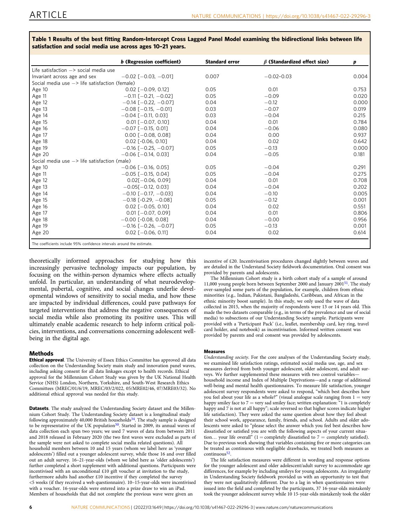|                                                                        | b (Regression coefficient)    | <b>Standard error</b> | $\beta$ (Standardized effect size) | p     |
|------------------------------------------------------------------------|-------------------------------|-----------------------|------------------------------------|-------|
| Life satisfaction $\rightarrow$ social media use                       |                               |                       |                                    |       |
| Invariant across age and sex                                           | $-0.02$ $[-0.03, -0.01]$      | 0.007                 | $-0.02 - 0.03$                     | 0.004 |
| Social media use -> life satisfaction (female)                         |                               |                       |                                    |       |
| Age 10                                                                 | $0.02$ $[-0.09, 0.12]$        | 0.05                  | 0.01                               | 0.753 |
| Age 11                                                                 | $-0.11$ $[-0.21, -0.02]$      | 0.05                  | $-0.09$                            | 0.020 |
| Age 12                                                                 | $-0.14$ $[-0.22, -0.07]$      | 0.04                  | $-0.12$                            | 0.000 |
| Age 13                                                                 | $-0.08$ $[-0.15, -0.01]$      | 0.03                  | $-0.07$                            | 0.019 |
| Age 14                                                                 | $-0.04$ $[-0.11, 0.03]$       | 0.03                  | $-0.04$                            | 0.215 |
| Age 15                                                                 | $0.01$ $[-0.07, 0.10]$        | 0.04                  | 0.01                               | 0.784 |
| Age 16                                                                 | $-0.07$ [ $-0.15$ , 0.01]     | 0.04                  | $-0.06$                            | 0.080 |
| Age 17                                                                 | $0.00$ $[-0.08, 0.08]$        | 0.04                  | 0.00                               | 0.937 |
| Age 18                                                                 | $0.02$ $[-0.06, 0.10]$        | 0.04                  | 0.02                               | 0.642 |
| Age 19                                                                 | $-0.16$ $[-0.25, -0.07]$      | 0.05                  | $-0.13$                            | 0.000 |
| Age 20                                                                 | $-0.06$ $[-0.14, 0.03]$       | 0.04                  | $-0.05$                            | 0.181 |
| Social media use $\rightarrow$ life satisfaction (male)                |                               |                       |                                    |       |
| Age 10                                                                 | $-0.06$ [ $-0.16$ , 0.05]     | 0.05                  | $-0.04$                            | 0.291 |
| Age 11                                                                 | $-0.05$ $[-0.15, 0.04]$       | 0.05                  | $-0.04$                            | 0.275 |
| Age 12                                                                 | $0.02$ [ $-0.06, 0.09$ ]      | 0.04                  | 0.01                               | 0.708 |
| Age 13                                                                 | $-0.05$ [ $-0.12, 0.03$ ]     | 0.04                  | $-0.04$                            | 0.202 |
| Age 14                                                                 | $-0.10$ $[-0.17, -0.03]$      | 0.04                  | $-0.10$                            | 0.005 |
| Age 15                                                                 | $-0.18$ [ $-0.29$ , $-0.08$ ] | 0.05                  | $-0.12$                            | 0.001 |
| Age 16                                                                 | $0.02$ $[-0.05, 0.10]$        | 0.04                  | 0.02                               | 0.551 |
| Age 17                                                                 | $0.01$ $[-0.07, 0.09]$        | 0.04                  | 0.01                               | 0.806 |
| Age 18                                                                 | $-0.00$ [-0.08, 0.08]         | 0.04                  | $-0.00$                            | 0.956 |
| Age 19                                                                 | $-0.16$ $[-0.26, -0.07]$      | 0.05                  | $-0.13$                            | 0.001 |
| Age 20                                                                 | $0.02$ $[-0.06, 0.11]$        | 0.04                  | 0.02                               | 0.614 |
| The coefficients include 95% confidence intervals around the estimate. |                               |                       |                                    |       |

<span id="page-5-0"></span>Table 1 Results of the best fitting Random-Intercept Cross Lagged Panel Model examining the bidirectional links between life satisfaction and social media use across ages 10–21 years.

theoretically informed approaches for studying how this increasingly pervasive technology impacts our population, by focusing on the within-person dynamics where effects actually unfold. In particular, an understanding of what neurodevelopmental, pubertal, cognitive, and social changes underlie developmental windows of sensitivity to social media, and how these are impacted by individual differences, could pave pathways for targeted interventions that address the negative consequences of social media while also promoting its positive uses. This will ultimately enable academic research to help inform critical policies, interventions, and conversations concerning adolescent wellbeing in the digital age.

#### Methods

Ethical approval. The University of Essex Ethics Committee has approved all data collection on the Understanding Society main study and innovation panel waves, including asking consent for all data linkages except to health records. Ethical approval for the Millennium Cohort Study was given by the UK National Health Service (NHS) London, Northern, Yorkshire, and South-West Research Ethics Committees (MREC/01/6/19, MREC/03/2/022, 05/MRE02/46, 07/MRE03/32). No additional ethical approval was needed for this study.

Datasets. The study analyzed the Understanding Society dataset and the Millennium Cohort Study. The Understanding Society dataset is a longitudinal study following approximately 40,000 British households<sup>34</sup>. The study sample is designed to be representative of the UK population<sup>[50](#page-9-0)</sup>. Started in 2009, its annual waves of data collection each span two years; we used 7 waves of data from between 2011 and 2018 released in February 2020 (the two first waves were excluded as parts of the sample were not asked to complete social media related questions). All household members between 10 and 15 years (whom we label here as 'younger adolescents') filled out a younger adolescent survey, while those 16 and over filled out an adult survey. 16–21-year-olds (whom we label here as 'older adolescents') further completed a short supplement with additional questions. Participants were incentivised with an unconditional £10 gift voucher at invitation to the study, furthermore adults had another £10 incentive if they completed the survey <5 weeks (if they received a web questionnaire). 10–15-year-olds were incentivised with a voucher. 16-year-olds were entered into a prize draw to win an iPad. Members of households that did not complete the previous wave were given an

incentive of £20. Incentivisation procedures changed slightly between waves and are detailed in the Understand Society fieldwork documentation. Oral consent was provided by parents and adolescents.

The Millennium Cohort study is a birth cohort study of a sample of around 11,000 young people born between September 2000 and January 2001[51](#page-9-0). The study over-sampled some parts of the population, for example, children from ethnic minorities (e.g., Indian, Pakistani, Bangladeshi, Caribbean, and African in the ethnic minority boost sample). In this study, we only used the wave of data collected in 2015, when the majority of respondents were 13 or 14 years old. This made the two datasets comparable (e.g., in terms of the prevalence and use of social media) to subsections of our Understanding Society sample. Participants were provided with a 'Participant Pack' (i.e., leaflet, membership card, key ring, travel card holder, and notebook) as incentivisation. Informed written consent was provided by parents and oral consent was provided by adolescents.

#### Measures

Understanding society. For the core analyses of the Understanding Society study, we examined life satisfaction ratings, estimated social media use, age, and sex measures derived from both younger adolescent, older adolescent, and adult surveys. We further supplemented these measures with two control variables household income and Index of Multiple Deprivations—and a range of additional well-being and mental health questionnaires. To measure life satisfaction, younger adolescent survey respondents were asked to respond, "which best describes how you feel about your life as a whole?" (visual analogue scale ranging from  $1 =$  very happy smiley face to  $7 =$  very sad smiley face; written explanation: "1 is completely happy and 7 is not at all happy"; scale reversed so that higher scores indicate higher life satisfaction). They were asked the same question about how they feel about their school work, appearance, family, friends, and school. Adults and older adolescents were asked to "please select the answer which you feel best describes how dissatisfied or satisfied you are with the following aspects of your current situation... your life overall" (1 = completely dissatisfied to 7 = completely satisfied). Due to previous work showing that variables containing five or more categories can be treated as continuous with negligible drawbacks, we treated both measures as continuous<sup>52</sup>.

The life satisfaction measures were different in wording and response options for the younger adolescent and older adolescent/adult survey to accommodate age differences, for example by including smileys for young adolescents. An irregularity in Understanding Society fieldwork provided us with an opportunity to test that they were not qualitatively different. Due to a lag in when questionnaires were issued into the field and completed by the participants, 37 16-year-olds mistakenly took the younger adolescent survey while 10 15-year-olds mistakenly took the older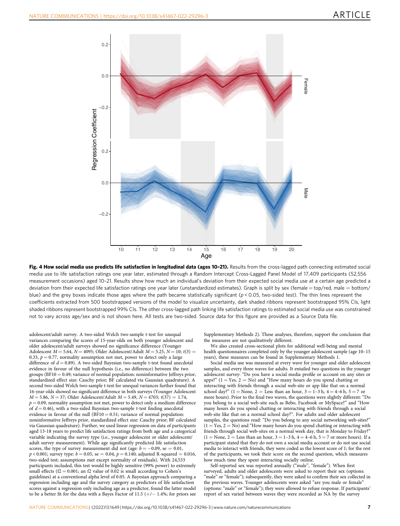<span id="page-6-0"></span>

Fig. 4 How social media use predicts life satisfaction in longitudinal data (ages 10-21). Results from the cross-lagged path connecting estimated social media use to life satisfaction ratings one year later, estimated through a Random Intercept Cross-Lagged Panel Model of 17,409 participants (52,556 measurement occasions) aged 10–21. Results show how much an individual's deviation from their expected social media use at a certain age predicted a deviation from their expected life satisfaction ratings one year later (unstandardized estimates). Graph is split by sex (female = top/red, male = bottom/ blue) and the grey boxes indicate those ages where the path became statistically significant ( $p < 0.05$ , two-sided test). The thin lines represent the coefficients extracted from 500 bootstrapped versions of the model to visualize uncertainty, dark shaded ribbons represent bootstrapped 95% CIs, light shaded ribbons represent bootstrapped 99% CIs. The other cross-lagged path linking life satisfaction ratings to estimated social media use was constrained not to vary across age/sex and is not shown here. All tests are two-sided. Source data for this figure are provided as a Source Data file.

adolescent/adult survey. A two-sided Welch two-sample t-test for unequal variances comparing the scores of 15-year-olds on both younger adolescent and older adolescent/adult surveys showed no significance difference (Younger Adolescent  $M = 5.64$ ,  $N = 4095$ ; Older Adolescent/Adult  $M = 5.25$ ,  $N = 10$ ;  $t(3) =$ 0.33,  $p = 0.77$ , normality assumption not met, power to detect only a large difference of  $d = 0.89$ ). A two-sided Bayesian two-sample t-test found anecdotal evidence in favour of the null hypothesis (i.e., no difference) between the two groups (BF10 = 0.49; variance of normal population: noninformative Jeffreys prior, standardized effect size: Cauchy prior; BF calculated via Gaussian quadrature). A second two-sided Welch two-sample t-test for unequal variances further found that 16-year-olds showed no significant difference in both surveys (Younger Adolescent  $M = 5.86$ ,  $N = 37$ ; Older Adolescent/Adult  $M = 5.49$ ,  $N = 4703$ ;  $t(37) = 1.74$ ,  $p = 0.09$ , normality assumption not met, power to detect only a medium difference of  $d = 0.46$ ), with a two-sided Bayesian two-sample t-test finding anecdotal evidence in favour of the null  $(BF10 = 0.51;$  variance of normal population: noninformative Jeffreys prior, standardized effect size: Cauchy prior; BF calculated via Gaussian quadrature). Further, we used linear regression on data of participants aged 13-18 years to predict life satisfaction ratings from both age and a categorical variable indicating the survey type (i.e., younger adolescent or older adolescent/ adult survey measurement). While age significantly predicted life satisfaction scores, the type of survey measurement did not (age:  $b = -0.09$ , se = 0.01,  $p < 0.001$ ; survey type:  $b = 0.05$ , se = 0.04,  $p = 0.140$ ; adjusted R-squared = 0.016, two-sided test; assumptions met except normality of residuals). With 24,533 participants included, this test would be highly sensitive (99% power) to extremely small effects ( $f2 = 0.001$ ; an  $f2$  value of  $0.02$  is small according to Cohen's guidelines) at a conventional alpha level of 0.05. A Bayesian approach comparing a regression including age and the survey category as predictors of life satisfaction scores against a regression only including age as a predictor, found the latter model to be a better fit for the data with a Bayes Factor of 11.5 (+/− 1.4%; for priors see

Supplementary Methods 2). These analyses, therefore, support the conclusion that the measures are not qualitatively different.

We also created cross-sectional plots for additional well-being and mental health questionnaires completed only by the younger adolescent sample (age 10–15 years), these measures can be found in Supplementary Methods 1.

Social media use was measured at every wave for younger and older adolescent samples, and every three waves for adults. It entailed two questions in the younger adolescent survey: "Do you have a social media profile or account on any sites or apps?"  $(1 = Yes, 2 = No)$  and "How many hours do you spend chatting or interacting with friends through a social web-site or app like that on a normal school day?" (1 = None, 2 = Less than an hour,  $3 = 1-3$  h,  $4 = 4-6$  h,  $5 = 7$  or more hours). Prior to the final two waves, the questions were slightly different: "Do you belong to a social web-site such as Bebo, Facebook or MySpace?" and "How many hours do you spend chatting or interacting with friends through a social web-site like that on a normal school day?". For adults and older adolescent samples, the questions read: "Do you belong to any social networking web-sites?"  $(1 = Yes, 2 = No)$  and "How many hours do you spend chatting or interacting with friends through social web-sites on a normal week day, that is Monday to Friday?"  $(1 = \text{None}, 2 = \text{Less than an hour}, 3 = 1-3h, 4 = 4-6h, 5 = 7 \text{ or more hours}).$  If a participant stated that they do not own a social media account or do not use social media to interact with friends, they were coded as the lowest score of 1; for the rest of the participants, we took their score on the second question, which measures how much time they spent interacting socially online.

Self-reported sex was reported annually ("male", "female"). When first surveyed, adults and older adolescents were asked to report their sex (options: "male" or "female"); subsequently, they were asked to confirm their sex collected in the previous waves. Younger adolescents were asked "are you male or female" (options: "male" or "female"); they were allowed to refuse response. If participants'<br>report of sex varied between waves they were recorded as NA by the survey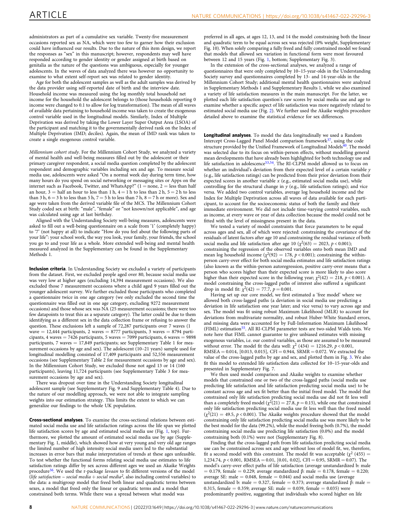administrators as part of a cumulative sex variable. Twenty-five measurement occasions reported sex as NA, which were too few to garner how their exclusion could have influenced our results. Due to the nature of this item design, we report the responses as "sex" in this manuscript; however, respondents may well have responded according to gender identity or gender assigned at birth based on genitalia as the nature of the questions was ambiguous, especially for younger adolescents. In the waves of data analyzed there was however no opportunity to examine to what extent self-report sex was related to gender identity.

Age for both the adolescent samples as well as the adult samples was derived by the data provider using self-reported date of birth and the interview date. Household income was measured using the log monthly total household net income for the household the adolescent belongs to (those households reporting 0 income were changed to 0.1 to allow for log transformation). The mean of all waves of available data pertaining to household income was taken to create the exogenous control variable used in the longitudinal models. Similarly, Index of Multiple Deprivation was derived by taking the Lower Layer Super Output Area (LSOA) of the participant and matching it to the governmentally derived rank on the Index of Multiple Deprivation (IMD; deciles). Again, the mean of IMD rank was taken to create a single exogenous control variable.

Millennium cohort study. For the Millennium Cohort Study, we analyzed a variety of mental health and well-being measures filled out by the adolescent or their primary caregiver respondent, a social media question completed by the adolescent respondent and demographic variables including sex and age. To measure social media use, adolescents were asked "On a normal week day during term time, how many hours do you spend on social networking or messaging sites or Apps on the internet such as Facebook, Twitter, and WhatsApp?"  $(1 = none, 2 = less than half)$ an hour,  $3 =$  half an hour to less than 1 h,  $4 = 1$  h to less than 2 h,  $5 = 2$  h to less than 3 h,  $6 = 3$  h to less than 5 h,  $7 = 5$  h to less than 7 h,  $8 = 7$  h or more). Sex and age were taken from the derived variable file of the MCS. The Millennium Cohort Study coded sex at birth: "male", "female" or "not known/not applicable", and age was calculated using age at last birthday.

Aligned with the Understanding Society well-being measures, adolescents were asked to fill out a well-being questionnaire on a scale from '1' (completely happy) to '7' (not happy at all) to indicate "How do you feel about the following parts of your life": your school work, the way you look, your family, your friends, the school you go to and your life as a whole. More extended well-being and mental health measured analyzed in the Supplementary can be found in the Supplementary Methods 1.

Inclusion criteria. In Understanding Society we excluded a variety of participants from the dataset. First, we excluded people aged over 80, because social media use was very low at higher ages (excluding 14,394 measurement occasions). We also excluded those 7 measurement occasions where a child aged 9 years filled out the younger adolescent survey. We further excluded those participants who completed a questionnaire twice in one age category (we only excluded the second time the questionnaire was filled out in one age category, excluding 9272 measurement occasions) and those whose sex was NA (25 measurement occasions; there were too few datapoints to treat this as a separate category). The latter could be due to them identifying as a different sex in the data collection frame or refusing to answer the question. These exclusions left a sample of 72,287 participants over 7 waves (1 wave = 12,444 participants, 2 waves = 8777 participants, 3 waves = 8794 participants, 4 waves  $= 7426$  participants, 5 waves  $= 7099$  participants, 6 waves  $= 9898$ participants, 7 waves = 17,849 participants; see Supplementary Table 1 for measurement occasions by age and sex). The adolescent (10–21 years) sample used for longitudinal modelling consisted of 17,409 participants and 52,556 measurement occasions (see Supplementary Table 2 for measurement occasions by age and sex). In the Millennium Cohort Study, we excluded those not aged 13 or 14 (160 participants), leaving 11,724 participants (see Supplementary Table 3 for measurement occasions by age and sex).

There was dropout over time in the Understanding Society longitudinal adolescent sample (see Supplementary Fig. 9 and Supplementary Table 4). Due to the nature of our modelling approach, we were not able to integrate sampling weights into our estimation strategy. This limits the extent to which we can generalize our findings to the whole UK population.

Cross-sectional analyses. To examine the cross-sectional relations between estimated social media use and life satisfaction ratings across the life span we plotted life satisfaction scores by age and estimated social media use (Fig. [1](#page-2-0), top). Furthermore, we plotted the amount of estimated social media use by age (Supplementary Fig. 1, middle), which showed how at very young and very old age ranges the limited number of high intensity social media users led to the substantial increases in error bars that make interpretation of trends at these ages unfeasible. To test whether the functional forms relating social media use estimates to life satisfaction ratings differ by sex across different ages we used an Akaike Weights procedure<sup>36</sup>. We used the r-package lavaan to fit different versions of the model (life satisfaction  $\sim$  social media + social media<sup>2</sup>, also including control variables) to the data: a multigroup model that freed both linear and quadratic terms between sexes, a model that freed only the linear or quadratic terms and a model that constrained both terms. While there was a spread between what model was

preferred in all ages, at ages 12, 13, and 14 the model constraining both the linear and quadratic term to be equal across sex was rejected (0% weight, Supplementary Fig. 10). When solely comparing a fully freed and fully constrained model we found that models that allowed sex variation in functional form were most favoured between 12 and 15 years (Fig. [1,](#page-2-0) bottom; Supplementary Fig. 3).

In the extension of the cross-sectional analyses, we analyzed a range of questionnaires that were only completed by 10–15-year-olds in the Understanding Society survey and questionnaires completed by 13- and 14-year-olds in the Millennium Cohort Study; additional mental health questionnaires were analyzed in Supplementary Methods 1 and Supplementary Results 1, while we also examined a variety of life satisfaction measures in the main manuscript. For the latter, we plotted each life satisfaction question's raw scores by social media use and age to examine whether a specific aspect of life satisfaction was more negatively related to estimated social media use (Fig. [2\)](#page-3-0). We further used the Akaike weights procedure detailed above to examine the statistical evidence for sex differences.

Longitudinal analyses. To model the data longitudinally we used a Random Intercept Cross-Lagged Panel Model comparison framework<sup>[37](#page-8-0)</sup>, using the code structure provided by the Unified Framework of Longitudinal Models<sup>[40](#page-9-0)</sup>. The model was selected due to its focus on within-person effects, without modelling general mean developments that have already been highlighted for both technology use and life satisfaction in adolescence<sup>53,54</sup>. The RI-CLPM model allowed us to focus on whether an individual's deviation from their expected level of a certain variable y (e.g., life satisfaction ratings) can be predicted from their prior deviation from their expected scores in another variable  $x$  (e.g., estimated social media use), while controlling for the structural change in  $y$  (e.g., life satisfaction ratings); and vice versa. We added two control variables, average log household income and the Index for Multiple Deprivation across all waves of data available for each participant, to account for the socioeconomic status of both the family and their immediate environment. We did not include time-varying control variables, such as income, at every wave or year of data collection because the model could not be fitted with the level of missingness present in the data.

We tested a variety of model constraints that force parameters to be equal across ages and sex, all of which were rejected: constraining the covariance of the residuals of latent factors after age 10 and constraining the residual variance of both social media and life satisfaction after age 10 ( $\chi^2(63) = 2023$ ,  $p < 0.001$ ); constraining the regression of the observed variables onto both mean IMD and mean log household income ( $\chi^2(92) = 178$ ,  $p < 0.001$ ); constraining the withinperson carry-over effect for both social media estimates and life satisfaction ratings (also known as the within-person autoregression, positive carry-over means that a person who scores higher than their expected score is more likely to also score higher than their expected score in the following year;  $\chi^2(42) = 218$ ,  $p < 0.001$ ). A model constraining the cross-lagged paths of interest also suffered a significant drop in model fit:  $\chi^2(42) = 77.7, p = 0.001$ .

Having set up our core model, we first estimated a 'free model' where we allowed both cross-lagged paths (a deviation in social media use predicting a deviation in life satisfaction one year later; and vice versa) to vary across age and sex. The model was fit using robust Maximum Likelihood (MLR) to account for deviations from multivariate normality, and robust Huber-White Standard errors, and missing data were accounted for by Full-Information Maximum Likelihood (FIML) estimation<sup>[55](#page-9-0)</sup>. All RI-CLPM parameter tests are two-sided Walds tests. We note here that FIML cannot guarantee to give unbiased estimates with missing exogenous variables, i.e. our control variables, as those are assumed to be measured without error. The model fit the data well:  $\chi^2$  (434) = 1216.29, p < 0.001, RMSEA =  $0.014$ , [0.013, 0.015], CFI = 0.944, SRMR = 0.072. We extracted the value of the cross-lagged paths by age and sex, and plotted them in Fig. [3.](#page-4-0) We also fit this model to extended life satisfaction data collected for 10–15-year-olds and presented in Supplementary Fig. 7.

We then used model comparison and Akaike weights to examine whether models that constrained one or two of the cross-lagged paths (social media use predicting life satisfaction and life satisfaction predicting social media use) to be constant across age and sex fit better than the initial freed model. The model that constrained only life satisfaction predicting social media use did not fit less well than a completely freed model ( $\chi^2(21) = 27.8$ ,  $p = 0.15$ ), while one that constrained only life satisfaction predicting social media use fit less well than the freed model  $(\chi^2(21) = 49.5, p < 0.001)$ . The Akaike weights procedure showed that the model constraining only life satisfaction predicting social media use was more likely to be the best model for the data (99.2%), while the model freeing both (0.7%), the model constraining social media use predicting life satisfaction (0.0%) and the model constraining both (0.1%) were not (Supplementary Fig. 8).

Finding that the cross-lagged path from life satisfaction predicting social media use can be constrained across sex and age without loss of model fit, we, therefore, fit a second model with this constraint. The model fit was acceptable ( $\chi^2$  (455) = 1,234.74,  $p < 0.001$ , RMSEA = 0.01, [0.01, 0.02], CFI = 0.95, SRMR = 0.07). The model's carry-over effect paths of life satisfaction (average unstandardized b: male  $= 0.179$ , female  $= 0.229$ ; average standardized β: male  $= 0.178$ , female  $= 0.220$ ; average SE: male  $= 0.048$ , female  $= 0.044$ ) and social media use (average unstandardized b: male = 0.327, female = 0.373; average standardized β: male = 0.315, female = 0.359; average SE: male = 0.039, female = 0.035) were predominantly positive, suggesting that individuals who scored higher on life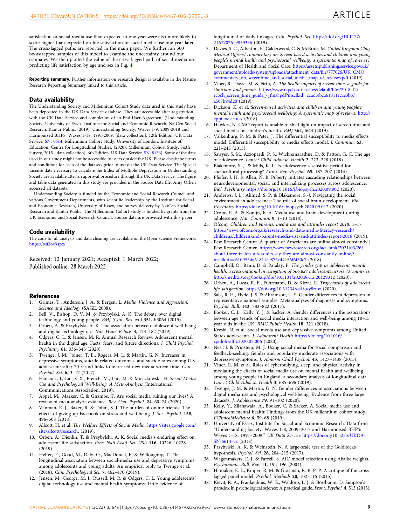<span id="page-8-0"></span>satisfaction or social media use than expected in one year were also more likely to score higher than expected on life satisfaction or social media use one year later. The cross-lagged paths are reported in the main paper. We further ran 500 bootstrapped samples of this model to examine the uncertainty around our estimates. We then plotted the value of the cross-lagged path of social media use predicting life satisfaction by age and sex in Fig. [4](#page-6-0).

Reporting summary. Further information on research design is available in the Nature Research Reporting Summary linked to this article.

#### Data availability

The Understanding Society and Millennium Cohort Study data used in this study have been deposited in the UK Data Service database. They are accessible after registration with the UK Data Service and completion of an End User Agreement (Understanding Society: University of Essex, Institute for Social and Economic Research, NatCen Social Research, Kantar Public. (2019). Understanding Society: Waves 1-9, 2009-2018 and Harmonized BHPS: Waves 1-18, 1991-2009. [data collection]. 12th Edition. UK Data Service. [SN: 6614,](http://doi.org/10.5255/UKDA-SN-6614-13) Millennium Cohort Study: University of London, Institute of Education, Centre for Longitudinal Studies. (2020). Millennium Cohort Study: Sixth Survey, 2015. [data collection]. 6th Edition. UK Data Service. [SN: 8156\)](http://doi.org/10.5255/UKDA-SN-8156-6). Some of the data used in our study might not be accessible to users outside the UK. Please check the terms and conditions for each of the datasets prior to use on the UK Data Service. The Special License data necessary to calculate the Index of Multiple Deprivation in Understanding Society are available after an approval procedure through the UK Data Service. The figure and table data generated in this study are provided in the Source Data file. Amy Orben accessed all datasets.

Understanding Society is funded by the Economic and Social Research Council and various Government Departments, with scientific leadership by the Institute for Social and Economic Research, University of Essex, and survey delivery by NatCen Social Research and Kantar Public. The Millennium Cohort Study is funded by grants from the UK Economic and Social Research Council. Source data are provided with this paper.

#### Code availability

The code for all analysis and data cleaning are available on the Open Science Framework: [https://osf.io/fzspx/.](https://osf.io/fzspx/)

Received: 12 January 2021; Accepted: 1 March 2022; Published online: 28 March 2022

#### References

- 1. Grimes, T., Anderson, J. A. & Bergen, L. Media Violence and Aggression: Science and Ideology (SAGE, 2008).
- Bell, V., Bishop, D. V. M. & Przybylski, A. K. The debate over digital technology and young people. BMJ (Clin. Res. ed.) 351, h3064 (2015).
- 3. Orben, A. & Przybylski, A. K. The association between adolescent well-being and digital technology use. Nat. Hum. Behav. 3, 173–182 (2019).
- 4. Odgers, C. L. & Jensen, M. R. Annual Research Review: Adolescent mental health in the digital age: Facts, fears, and future directions. J. Child Psychol. Psychiatry 61, 336–348 (2020).
- 5. Twenge, J. M., Joiner, T. E., Rogers, M. L. & Martin, G. N. Increases in depressive symptoms, suicide-related outcomes, and suicide rates among U.S. adolescents after 2010 and links to increased new media screen time. Clin. Psychol. Sci. 6, 3–17 (2017).
- 6. Hancock, J., Liu, S. X., French, M., Luo, M. & Mieczkowski, H. Social Media Use and Psychological Well-Being: A Meta-Analysis (International Communications Association, 2019).
- 7. Appel, M., Marker, C. & Gnambs, T. Are social media ruining our lives? A review of meta-analytic evidence. Rev. Gen. Psychol. 24, 60–74 (2020).
- 8. Vanman, E. J., Baker, R. & Tobin, S. J. The burden of online friends: The effects of giving up Facebook on stress and well-being. J. Soc. Psychol. 158, 496–508 (2018).
- 9. Allcott, H. et al. The Welfare Effects of Social Media. [https://sites.google.com/](https://sites.google.com/site/allcott/research) [site/allcott/research.](https://sites.google.com/site/allcott/research) (2019).
- 10. Orben, A., Dienlin, T. & Przybylski, A. K. Social media's enduring effect on adolescent life satisfaction. Proc. Natl Acad. Sci. USA 116, 10226–10228  $(2019)$
- 11. Heffer, T., Good, M., Daly, O., MacDonell, E. & Willoughby, T. The longitudinal association between social-media use and depressive symptoms among adolescents and young adults: An empirical reply to Twenge et al. (2018). Clin. Psychological Sci. 7, 462–470 (2019).
- 12. Jensen, M., George, M. J., Russell, M. R. & Odgers, C. L. Young adolescents' digital technology use and mental health symptoms: Little evidence of

longitudinal or daily linkages. Clin. Psychol. Sci. [https://doi.org/10.1177/](https://doi.org/10.1177/2167702619859336) [2167702619859336](https://doi.org/10.1177/2167702619859336) (2019).

- 13. Davies, S. C., Atherton, F., Calderwood, C. & McBride, M. United Kingdom Chief Medical Officers' commentary on 'Screen-based activities and children and young people's mental health and psychosocial wellbeing: a systematic map of reviews'. Department of Health and Social Care. [https://assets.publishing.service.gov.uk/](https://assets.publishing.service.gov.uk/government/uploads/system/uploads/attachment_data/file/777026/UK_CMO_commentary_on_screentime_and_social_media_map_of_reviews.pdf) [government/uploads/system/uploads/attachment\\_data/](https://assets.publishing.service.gov.uk/government/uploads/system/uploads/attachment_data/file/777026/UK_CMO_commentary_on_screentime_and_social_media_map_of_reviews.pdf)file/777026/UK\_CMO\_ [commentary\\_on\\_screentime\\_and\\_social\\_media\\_map\\_of\\_reviews.pdf](https://assets.publishing.service.gov.uk/government/uploads/system/uploads/attachment_data/file/777026/UK_CMO_commentary_on_screentime_and_social_media_map_of_reviews.pdf) (2019).
- 14. Viner, R., Davie, M. & Firth, A. The health impacts of screen time: a guide for clinicians and parents. [https://www.rcpch.ac.uk/sites/default/](https://www.rcpch.ac.uk/sites/default/files/2018-12/rcpch_screen_time_guide_-_final.pdf?msclkid=ccac1ebca61811ecae3b67a507b94d20)files/2018-12/ [rcpch\\_screen\\_time\\_guide\\_-\\_](https://www.rcpch.ac.uk/sites/default/files/2018-12/rcpch_screen_time_guide_-_final.pdf?msclkid=ccac1ebca61811ecae3b67a507b94d20)final.pdf?msclkid=ccac1ebca61811ecae3b67 [a507b94d20](https://www.rcpch.ac.uk/sites/default/files/2018-12/rcpch_screen_time_guide_-_final.pdf?msclkid=ccac1ebca61811ecae3b67a507b94d20) (2019).
- 15. Dickson, K. et al. Screen-based activities and children and young people's mental health and psychosocial wellbeing: A systematic map of reviews. [http://](http://eppi.ioe.ac.uk/) [eppi.ioe.ac.uk/](http://eppi.ioe.ac.uk/) (2018).
- 16. Hawkes, N. CMO report is unable to shed light on impact of screen time and social media on children's health. BMJ 364, l643 (2019).
- 17. Valkenburg, P. M. & Peter, J. The differential susceptibility to media effects model: Differential susceptibility to media effects model. J. Commun. 63, 221–243 (2013).
- 18. Sawyer, S. M., Azzopardi, P. S., Wickremarathne, D. & Patton, G. C. The age of adolescence. Lancet Child Adolesc. Health 2, 223–228 (2018).
- 19. Blakemore, S.-J. & Mills, K. L. Is adolescence a sensitive period for sociocultural processing? Annu. Rev. Psychol. 65, 187–207 (2014).
- 20. Pfeifer, J. H. & Allen, N. B. Puberty initiates cascading relationships between neurodevelopmental, social, and internalizing processes across adolescence. Biol. Psychiatry <https://doi.org/10.1016/j.biopsych.2020.09.002> (2020).
- 21. Andrews, J. L., Ahmed, S. P. & Blakemore, S.-J. Navigating the social environment in adolescence: The role of social brain development. Biol. Psychiatry <https://doi.org/10.1016/j.biopsych.2020.09.012> (2020).
- 22. Crone, E. A. & Konijn, E. A. Media use and brain development during adolescence. Nat. Commun. 9, 1–10 (2018).
- 23. Ofcom. Children and parents: media use and attitudes report 2018. 1–17 [https://www.ofcom.org.uk/research-and-data/media-literacy-research/](https://www.ofcom.org.uk/research-and-data/media-literacy-research/childrens/children-and-parents-media-use-and-attitudes-report-2018) [childrens/children-and-parents-media-use-and-attitudes-report-2018](https://www.ofcom.org.uk/research-and-data/media-literacy-research/childrens/children-and-parents-media-use-and-attitudes-report-2018) (2019).
- 24. Pew Research Centre. A quarter of Americans are online almost constantly | Pew Research Center. [https://www.pewresearch.org/fact-tank/2021/03/26/](https://www.pewresearch.org/fact-tank/2021/03/26/about-three-in-ten-u-s-adults-say-they-are-almost-constantly-online/?msclkid=e6109554a61811ec875c44156f6f50c7) [about-three-in-ten-u-s-adults-say-they-are-almost-constantly-online/?](https://www.pewresearch.org/fact-tank/2021/03/26/about-three-in-ten-u-s-adults-say-they-are-almost-constantly-online/?msclkid=e6109554a61811ec875c44156f6f50c7) msclkid=[e6109554a61811ec875c44156f6f50c7](https://www.pewresearch.org/fact-tank/2021/03/26/about-three-in-ten-u-s-adults-say-they-are-almost-constantly-online/?msclkid=e6109554a61811ec875c44156f6f50c7) (2018).
- 25. Campbell, O., Bann, D. & Patalay, P. The gender gap in adolescent mental health: a cross-national investigation of 566,827 adolescents across 73 countries. <http://medrxiv.org/lookup/doi/10.1101/2020.06.12.20129312> (2020).
- 26. Orben, A., Lucas, R. E., Fuhrmann, D. & Kievit, R. Trajectories of adolescent life satisfaction. <https://doi.org/10.31234/osf.io/y8ruw> (2020).
- 27. Salk, R. H., Hyde, J. S. & Abramson, L. Y. Gender differences in depression in representative national samples: Meta-analyses of diagnoses and symptoms. Psychol. Bull. 143, 783–822 (2017).
- 28. Booker, C. L., Kelly, Y. J. & Sacker, A. Gender differences in the associations between age trends of social media interaction and well-being among 10–15 year olds in the UK. BMC Public Health 18, 321 (2018).
- 29. Kreski, N. et al. Social media use and depressive symptoms among United States adolescents. J. Adolescent Health [https://doi.org/10.1016/](https://doi.org/10.1016/j.jadohealth.2020.07.006) [j.jadohealth.2020.07.006](https://doi.org/10.1016/j.jadohealth.2020.07.006) (2020).
- 30. Nesi, J. & Prinstein, M. J. Using social media for social comparison and feedback-seeking: Gender and popularity moderate associations with depressive symptoms. J. Abnorm Child Psychol. 43, 1427–1438 (2015).
- 31. Viner, R. M. et al. Roles of cyberbullying, sleep, and physical activity in mediating the effects of social media use on mental health and wellbeing among young people in England: a secondary analysis of longitudinal data. Lancet Child Adolesc. Health 3, 685–696 (2019).
- 32. Twenge, J. M. & Martin, G. N. Gender differences in associations between digital media use and psychological well-being: Evidence from three large datasets. J. Adolescence 79, 91–102 (2020).
- 33. Kelly, Y., Zilanawala, A., Booker, C. & Sacker, A. Social media use and adolescent mental health: Findings from the UK millennium cohort study. EClinicalMedicine 6, 59–68 (2019).
- 34. University of Essex, Institute for Social and Economic Research. Data from "Understanding Society: Waves 1-8, 2009–2017 and Harmonised BHPS: Waves 1-18, 1991–2009." UK Data Service [https://doi.org/10.5255/UKDA-](https://doi.org/10.5255/UKDA-SN-6614-12)[SN-6614-12](https://doi.org/10.5255/UKDA-SN-6614-12) (2018).
- 35. Przybylski, A. K. & Weinstein, N. A large-scale test of the Goldilocks hypothesis. Psychol. Sci. 28, 204–215 (2017).
- 36. Wagenmakers, E.-J. & Farrell, S. AIC model selection using Akaike weights. Psychonomic Bull. Rev. 11, 192–196 (2004).
- 37. Hamaker, E. L., Kuiper, R. M. & Grasman, R. P. P. P. A critique of the crosslagged panel model. Psychol. Methods 20, 102–116 (2015).
- 38. Kievit, R. A., Frankenhuis, W. E., Waldorp, L. J. & Borsboom, D. Simpson's paradox in psychological science: A practical guide. Front. Psychol. 4, 513 (2013).